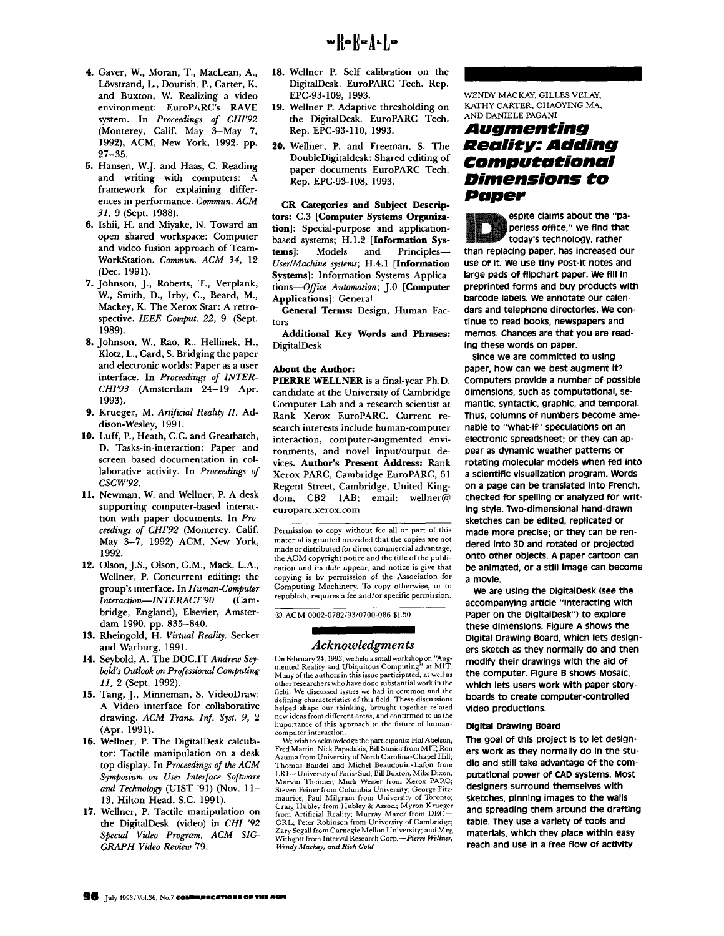- 4. Gaver, W., Moran, T., MacLean, A., Lövstrand, L., Dourish. P., Carter, K. and Buxton, W. Realizing a video environment: EuroPARC's RAVE system. In *Proceedings of CH1'92*  (Monterey, Calif. May 3-May 7, 1992), ACM, New York, 1992. pp. 27-35.
- 5. Hansen, w.J. and Haas, C. Reading and writing with computers: A framework for explaining differences in performance. *Commun. ACM 31,* 9 (Sept. 1988).
- 6. Ishii, H. and Miyake, N. Toward an open shared workspace: Computer and video fusion approach of Team-WorkStation. *Commun. ACM 34,* 12 (Dec. 1991).
- 7. Johnson, J., Roberts, T., Verplank, W., Smith, D., Irby, C., Beard, M., Mackey, K. The Xerox Star: A retrospective. *IEEE Comput.* 22, 9 (Sept. 1989).
- 8. Johnson, W., Rao, R., Hellinek, H., Klotz, L., Card, S. Bridging the paper and electronic worlds: Paper as a user interface. In *Proceedings of INTER-CHI'93* (Amsterdam 24-19 Apr. 1993).
- 9. Krueger, M. *Artificial Reality H.* Addison-Wesley, 1991.
- 10. Luff, P., Heath, C.C. and Greatbatch, D. Tasks-in-interaction: Paper and screen based documentation in collaborative activity. In *Proceedings of CSCW'92.*
- 11. Newman, W. and Wellner, P. A desk supporting computer-based interaction with paper documents. In *Proceedings of CHI'92* (Monterey, Calif. May 3-7, 1992) ACM, New York, 1992.
- 12. Olson, J.S., Olson, G.M., Mack, L.A., Wellner, P. Concurrent editing: the group's interface. In *Human-Computer Interaction--INTERACT'90* (Cambridge, England), Elsevier, Amsterdam 1990. pp. 835-840.
- 13. Rheingold, H. *Virtual Reality.* Secker and Warburg, 1991.
- 14. Seybold, A. The DOC.IT Andrew Sey*bold's Outlook on Professio~al Computing 11,* 2 (Sept. 1992).
- 15. Tang, J., Minneman, S. VideoDraw: A Video interface for collaborative drawing. *ACM Trans. Inf. Syst. 9, 2*  (Apr. 1991).
- 16. Weliner, P. The DigitalDesk calculator: Tactile manipulation on a desk top display. In *Proceedings of the ACM Symposium on User Interface Software and Technology* (UIST '91) (Nov. 11- 13, Hilton Head, S.C. 1991).
- 17. Wellner, P. Tactile manipulation on the DigitalDesk. (video) in *CHI* '92 *Special Video Program, ACM SIG-GRAPH Video Review* 79.
- 18. Wellner P. Self calibration on the DigitalDesk. EuroPARC Tech. Rep. EPC-93-109, 1993.
- 19. Wellner P. Adaptive thresholding on the DigitaiDesk. EuroPARC Tech. Rep. EPC-93-110, 1993.
- **20.** Weliner, P. and Freeman, S. The DoubleDigitaldesk: Shared editing of paper documents EuroPARC Tech. Rep. EPC-93-108, 1993.

**CR Categories and Subject Descriptors: C.3 [Computer Systems** Organization]: Special-purpose and applicationbased systems; H.1.2 [Information **Sys**tems]: Models and Principles-*User~Machine systems;* H.4.1 [Information **Systems]:** Information Systems Applica*tions-Office Automation;* J.0 **[Computer Applications]:** General

General Terms: Design, Human Factors

**Additional Key Words and Phrases:**  DigitalDesk

## **About the Author:**

**PIERRE WELLNER is a** final-year Ph.D. candidate at the University of Cambridge Computer Lab and a research scientist at Rank Xerox EuroPARC. Current research interests include human-computer interaction, computer-augmented environments, and novel input/output devices. **Author's Present Address:** Rank Xerox PARC, Cambridge EuroPARC, 61 Regent Street, Cambridge, United Kingdom, CB2 lAB; email: wellner@ europarc.xerox.com

Permission to copy without fee all or part of this material is granted provided that the copies are not made or distributed for direct commercial advantage, the ACM copyright notice and the title of the publication and its date appear, and notice is give that copying is by permission of the Association for Computing Machinery. To copy otherwise, or to republish, requires a fee and/or specific permission.

© ACM 0002-0782/93/0700-086 \$1.50

### *Acknowledgments*

**II** 

On February 24, 1993, we held a small workshop on "Aug-mented Reality and Ubiquitous Computing" at MIT. mented Reality and Ubiquitous Computing" at MIT.<br>Many of the authors in this issue participated, as well as other researchers who have done substantial work in the field. We discussed issues we had in common and the defining *characteristics* of this field. These discussions helped shape our thinking, brought together related new ideas from different areas, and confirmed to us the importance of this approach to the future of humancomputer interaction.

We wish to acknowledge the participants: Hal Abelson, Fred Martin, Nick Papadakis, Bill Stasior from MI'I~ Ron Azuma from University of North Carolina-Chapel Hill; Thomas Baudel and Michel Beaudouin-Lafon from LRI--University of Paris-Sud; Bill Buxton, Mike Dixon, Marvin Theimer, Mark Weiser from Xerox PARC; Steven Feiner from Columbia University; George Fitzmaurice, Paul Milgram from University of Toronto; Craig Hubley from Hubley & Assoc.; Myron Krueger from Artificial Reality; Murray Mazer from DEC-- CRL; Peter Robinson from University of Cambridge; Zary Segall from Carnegie Mellon University; and Meg Withgott from Interval Research Corp.--Pierre *Wellner, Wendy Mackay, and Rich Gold*  WENDY MACKAY, GILLES VELAY, KATHY CARTER, CHAOYING MA, AND DANIELE PAGANI

# *Augmenting Reality: Adding Computational Dimensions to Paper*

**Despite claims about the "pa-**<br> **Despite Foot** that the boday's technology, rather<br> **Despite a particular technology, rather perless** office," we find that today's technology, rather than replacing paper, has Increased our **use of It. We use tiny Post-it notes and**  large pads of fllpchart **paper. We fill** In **preprinted forms and buy** products with **barcode labels. We** annotate our **calendars and telephone directories. We continue to read books, newspapers and memos. Chances are that you are reading these words on paper.** 

Since **we are** committed to using paper, how can we best augment it? Computers provide a number of possible dimensions, such as computational, semantic, syntactic, graphic, and temporal. Thus, columns of numbers become amenable to "what-if" speculations on an electronic spreadsheet; or they can **appear** as dynamic weather patterns or rotating molecular models when fed Into a scientific visualization program. Words on **a page can be** translated into French, checked for spelling or analyzed for writing style. Two-dimensional hand-drawn sketches can **be edited, replicated** or **made** more precise; or they can be rendered **Into 3D and** rotated or projected onto other objects. A paper cartoon can **be animated, or a** still Image can **become a movie.** 

**We** are using the DlgltalDesk (see the accompanying article "Interacting with **Paper** on the DlgltalDesk') to **explore these dimensions. Figure A Shows the**  Digital Drawing Board, which lets **designers** sketch as they normally do and then **modify** their drawings with the aid of the computer. **Figure B shows Mosaic,**  which lets users work with paper storyboards to create computer-controlled **video** productions.

#### **Digital Drawing Board**

The goal of this project is to let designers work as they normally do In the studio **and** still take advantage of the **computational** power of CAD systems. Most designers surround themselves with sketches, pinning images to the walls **and** spreading them around the drafting table. They use a variety of tools **and**  materials, which **they place within easy**  reach and use In a free flow of activity